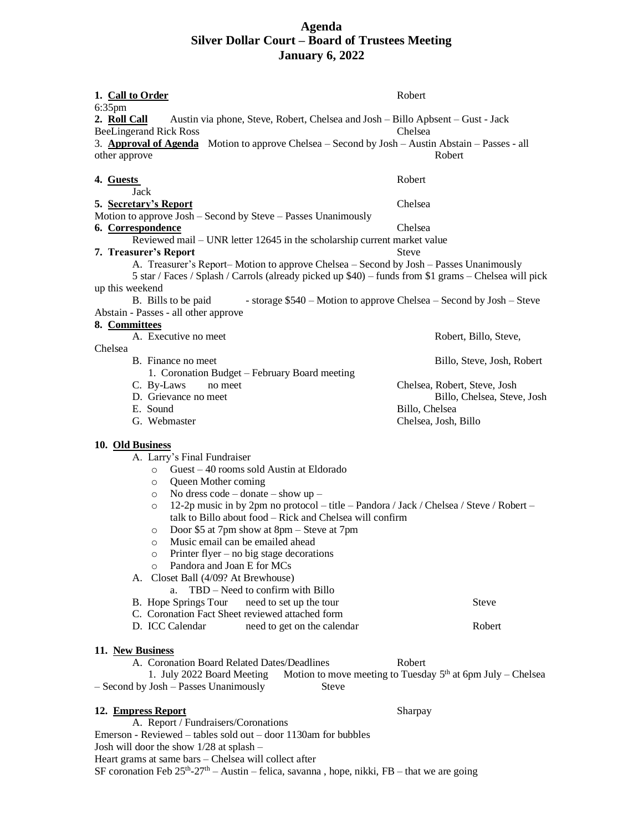## **Agenda Silver Dollar Court – Board of Trustees Meeting January 6, 2022**

| 1. Call to Order                                                                                                                                                                                                                                                                                                                                                                                                                                                                                                                                                                                                                                                                                                                                                                                              | Robert                                                               |
|---------------------------------------------------------------------------------------------------------------------------------------------------------------------------------------------------------------------------------------------------------------------------------------------------------------------------------------------------------------------------------------------------------------------------------------------------------------------------------------------------------------------------------------------------------------------------------------------------------------------------------------------------------------------------------------------------------------------------------------------------------------------------------------------------------------|----------------------------------------------------------------------|
| 6:35pm                                                                                                                                                                                                                                                                                                                                                                                                                                                                                                                                                                                                                                                                                                                                                                                                        |                                                                      |
| 2. Roll Call<br>Austin via phone, Steve, Robert, Chelsea and Josh – Billo Apbsent – Gust - Jack                                                                                                                                                                                                                                                                                                                                                                                                                                                                                                                                                                                                                                                                                                               |                                                                      |
| <b>BeeLingerand Rick Ross</b><br>3. <b>Approval of Agenda</b> Motion to approve Chelsea – Second by Josh – Austin Abstain – Passes - all                                                                                                                                                                                                                                                                                                                                                                                                                                                                                                                                                                                                                                                                      | Chelsea                                                              |
| other approve                                                                                                                                                                                                                                                                                                                                                                                                                                                                                                                                                                                                                                                                                                                                                                                                 | Robert                                                               |
| 4. Guests<br>Jack                                                                                                                                                                                                                                                                                                                                                                                                                                                                                                                                                                                                                                                                                                                                                                                             | <b>Robert</b>                                                        |
| 5. Secretary's Report                                                                                                                                                                                                                                                                                                                                                                                                                                                                                                                                                                                                                                                                                                                                                                                         | Chelsea                                                              |
| Motion to approve Josh – Second by Steve – Passes Unanimously                                                                                                                                                                                                                                                                                                                                                                                                                                                                                                                                                                                                                                                                                                                                                 |                                                                      |
| 6. Correspondence                                                                                                                                                                                                                                                                                                                                                                                                                                                                                                                                                                                                                                                                                                                                                                                             | Chelsea                                                              |
| Reviewed mail – UNR letter 12645 in the scholarship current market value<br>7. Treasurer's Report                                                                                                                                                                                                                                                                                                                                                                                                                                                                                                                                                                                                                                                                                                             | Steve                                                                |
| A. Treasurer's Report-Motion to approve Chelsea - Second by Josh - Passes Unanimously<br>5 star / Faces / Splash / Carrols (already picked up \$40) – funds from \$1 grams – Chelsea will pick                                                                                                                                                                                                                                                                                                                                                                                                                                                                                                                                                                                                                |                                                                      |
| up this weekend                                                                                                                                                                                                                                                                                                                                                                                                                                                                                                                                                                                                                                                                                                                                                                                               |                                                                      |
| B. Bills to be paid                                                                                                                                                                                                                                                                                                                                                                                                                                                                                                                                                                                                                                                                                                                                                                                           | - storage \$540 – Motion to approve Chelsea – Second by Josh – Steve |
| Abstain - Passes - all other approve                                                                                                                                                                                                                                                                                                                                                                                                                                                                                                                                                                                                                                                                                                                                                                          |                                                                      |
| 8. Committees                                                                                                                                                                                                                                                                                                                                                                                                                                                                                                                                                                                                                                                                                                                                                                                                 |                                                                      |
| A. Executive no meet<br>Chelsea                                                                                                                                                                                                                                                                                                                                                                                                                                                                                                                                                                                                                                                                                                                                                                               | Robert, Billo, Steve,                                                |
| B. Finance no meet                                                                                                                                                                                                                                                                                                                                                                                                                                                                                                                                                                                                                                                                                                                                                                                            | Billo, Steve, Josh, Robert                                           |
| 1. Coronation Budget – February Board meeting                                                                                                                                                                                                                                                                                                                                                                                                                                                                                                                                                                                                                                                                                                                                                                 |                                                                      |
| C. By-Laws<br>no meet                                                                                                                                                                                                                                                                                                                                                                                                                                                                                                                                                                                                                                                                                                                                                                                         | Chelsea, Robert, Steve, Josh                                         |
| D. Grievance no meet                                                                                                                                                                                                                                                                                                                                                                                                                                                                                                                                                                                                                                                                                                                                                                                          | Billo, Chelsea, Steve, Josh                                          |
| E. Sound<br>G. Webmaster                                                                                                                                                                                                                                                                                                                                                                                                                                                                                                                                                                                                                                                                                                                                                                                      | Billo, Chelsea                                                       |
|                                                                                                                                                                                                                                                                                                                                                                                                                                                                                                                                                                                                                                                                                                                                                                                                               | Chelsea, Josh, Billo                                                 |
| 10. Old Business                                                                                                                                                                                                                                                                                                                                                                                                                                                                                                                                                                                                                                                                                                                                                                                              |                                                                      |
| A. Larry's Final Fundraiser<br>Guest - 40 rooms sold Austin at Eldorado<br>$\circ$<br>Queen Mother coming<br>$\circ$<br>No dress code – donate – show $up$ –<br>$\circ$<br>12-2p music in by 2pm no protocol – title – Pandora / Jack / Chelsea / Steve / Robert –<br>$\circ$<br>talk to Billo about food - Rick and Chelsea will confirm<br>Door \$5 at 7pm show at $8pm -$ Steve at 7pm<br>$\circ$<br>Music email can be emailed ahead<br>O<br>Printer flyer – no big stage decorations<br>$\circ$<br>Pandora and Joan E for MCs<br>$\circ$<br>Closet Ball (4/09? At Brewhouse)<br>А.<br>TBD - Need to confirm with Billo<br>a.<br>B. Hope Springs Tour<br>need to set up the tour<br>C. Coronation Fact Sheet reviewed attached form<br>D. ICC Calendar<br>need to get on the calendar<br>11. New Business | <b>Steve</b><br>Robert                                               |
| A. Coronation Board Related Dates/Deadlines                                                                                                                                                                                                                                                                                                                                                                                                                                                                                                                                                                                                                                                                                                                                                                   | Robert                                                               |
| 1. July 2022 Board Meeting Motion to move meeting to Tuesday $5th$ at 6pm July – Chelsea<br>- Second by Josh - Passes Unanimously<br><b>Steve</b>                                                                                                                                                                                                                                                                                                                                                                                                                                                                                                                                                                                                                                                             |                                                                      |
| 12. Empress Report                                                                                                                                                                                                                                                                                                                                                                                                                                                                                                                                                                                                                                                                                                                                                                                            | Sharpay                                                              |
| A. Report / Fundraisers/Coronations<br>Emerson - Reviewed – tables sold out – door 1130am for bubbles                                                                                                                                                                                                                                                                                                                                                                                                                                                                                                                                                                                                                                                                                                         |                                                                      |
| Josh will door the show 1/28 at splash -                                                                                                                                                                                                                                                                                                                                                                                                                                                                                                                                                                                                                                                                                                                                                                      |                                                                      |
| Heart grams at same bars - Chelsea will collect after                                                                                                                                                                                                                                                                                                                                                                                                                                                                                                                                                                                                                                                                                                                                                         |                                                                      |

SF coronation Feb  $25<sup>th</sup>-27<sup>th</sup> - Austin - felica, savanna, hope, nikki, FB - that we are going$